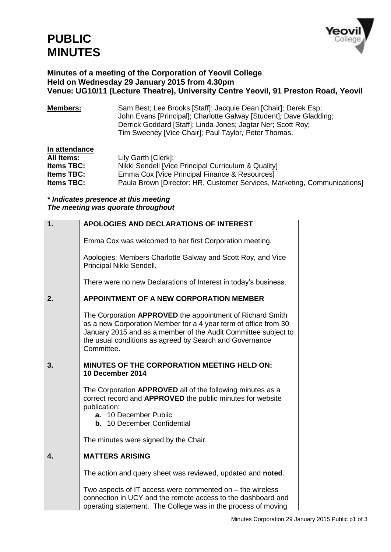## **PUBLIC MINUTES**



## **Minutes of a meeting of the Corporation of Yeovil College Held on Wednesday 29 January 2015 from 4.30pm Venue: UG10/11 (Lecture Theatre), University Centre Yeovil, 91 Preston Road, Yeovil**

**Members:** Sam Best; Lee Brooks [Staff]; Jacquie Dean [Chair]; Derek Esp; John Evans [Principal]; Charlotte Galway [Student]*;* Dave Gladding; Derrick Goddard [Staff]; Linda Jones; Jagtar Ner; Scott Roy; Tim Sweeney [Vice Chair]; Paul Taylor*;* Peter Thomas.

| In attendance     |                                                                          |
|-------------------|--------------------------------------------------------------------------|
| All Items:        | Lily Garth [Clerk];                                                      |
| <b>Items TBC:</b> | Nikki Sendell [Vice Principal Curriculum & Quality]                      |
| <b>Items TBC:</b> | Emma Cox [Vice Principal Finance & Resources]                            |
| <b>Items TBC:</b> | Paula Brown [Director: HR, Customer Services, Marketing, Communications] |

## *\* Indicates presence at this meeting The meeting was quorate throughout*

| 1.           | APOLOGIES AND DECLARATIONS OF INTEREST                                                                                                                                                                                                                                  |
|--------------|-------------------------------------------------------------------------------------------------------------------------------------------------------------------------------------------------------------------------------------------------------------------------|
|              | Emma Cox was welcomed to her first Corporation meeting.                                                                                                                                                                                                                 |
|              | Apologies: Members Charlotte Galway and Scott Roy, and Vice<br>Principal Nikki Sendell.                                                                                                                                                                                 |
|              | There were no new Declarations of Interest in today's business.                                                                                                                                                                                                         |
| 2.           | <b>APPOINTMENT OF A NEW CORPORATION MEMBER</b>                                                                                                                                                                                                                          |
|              | The Corporation APPROVED the appointment of Richard Smith<br>as a new Corporation Member for a 4 year term of office from 30<br>January 2015 and as a member of the Audit Committee subject to<br>the usual conditions as agreed by Search and Governance<br>Committee. |
| 3.           | MINUTES OF THE CORPORATION MEETING HELD ON:<br>10 December 2014                                                                                                                                                                                                         |
|              | The Corporation APPROVED all of the following minutes as a<br>correct record and APPROVED the public minutes for website<br>publication:<br>a. 10 December Public<br>b. 10 December Confidential                                                                        |
|              | The minutes were signed by the Chair.                                                                                                                                                                                                                                   |
| $\mathbf{4}$ | <b>MATTERS ARISING</b>                                                                                                                                                                                                                                                  |
|              | The action and query sheet was reviewed, updated and noted.                                                                                                                                                                                                             |
|              | Two aspects of IT access were commented on - the wireless<br>connection in UCY and the remote access to the dashboard and<br>operating statement. The College was in the process of moving                                                                              |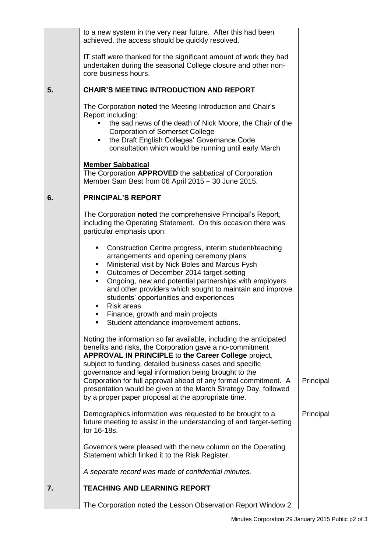|    | to a new system in the very near future. After this had been<br>achieved, the access should be quickly resolved.                                                                                                                                                                                                                                                                                                                                                                                         |           |
|----|----------------------------------------------------------------------------------------------------------------------------------------------------------------------------------------------------------------------------------------------------------------------------------------------------------------------------------------------------------------------------------------------------------------------------------------------------------------------------------------------------------|-----------|
|    | IT staff were thanked for the significant amount of work they had<br>undertaken during the seasonal College closure and other non-<br>core business hours.                                                                                                                                                                                                                                                                                                                                               |           |
| 5. | <b>CHAIR'S MEETING INTRODUCTION AND REPORT</b>                                                                                                                                                                                                                                                                                                                                                                                                                                                           |           |
|    | The Corporation noted the Meeting Introduction and Chair's<br>Report including:<br>the sad news of the death of Nick Moore, the Chair of the<br><b>Corporation of Somerset College</b><br>the Draft English Colleges' Governance Code<br>consultation which would be running until early March                                                                                                                                                                                                           |           |
|    | <b>Member Sabbatical</b><br>The Corporation APPROVED the sabbatical of Corporation<br>Member Sam Best from 06 April 2015 - 30 June 2015.                                                                                                                                                                                                                                                                                                                                                                 |           |
| 6. | <b>PRINCIPAL'S REPORT</b>                                                                                                                                                                                                                                                                                                                                                                                                                                                                                |           |
|    | The Corporation noted the comprehensive Principal's Report,<br>including the Operating Statement. On this occasion there was<br>particular emphasis upon:                                                                                                                                                                                                                                                                                                                                                |           |
|    | Construction Centre progress, interim student/teaching<br>٠<br>arrangements and opening ceremony plans<br>Ministerial visit by Nick Boles and Marcus Fysh<br>٠<br>Outcomes of December 2014 target-setting<br>٠<br>Ongoing, new and potential partnerships with employers<br>٠<br>and other providers which sought to maintain and improve<br>students' opportunities and experiences<br><b>Risk areas</b><br>٠                                                                                          |           |
|    | Finance, growth and main projects<br>٠<br>Student attendance improvement actions.                                                                                                                                                                                                                                                                                                                                                                                                                        |           |
|    | Noting the information so far available, including the anticipated<br>benefits and risks, the Corporation gave a no-commitment<br>APPROVAL IN PRINCIPLE to the Career College project,<br>subject to funding, detailed business cases and specific<br>governance and legal information being brought to the<br>Corporation for full approval ahead of any formal commitment. A<br>presentation would be given at the March Strategy Day, followed<br>by a proper paper proposal at the appropriate time. | Principal |
|    | Demographics information was requested to be brought to a<br>future meeting to assist in the understanding of and target-setting<br>for 16-18s.                                                                                                                                                                                                                                                                                                                                                          | Principal |
|    | Governors were pleased with the new column on the Operating<br>Statement which linked it to the Risk Register.                                                                                                                                                                                                                                                                                                                                                                                           |           |
|    | A separate record was made of confidential minutes.                                                                                                                                                                                                                                                                                                                                                                                                                                                      |           |
| 7. | <b>TEACHING AND LEARNING REPORT</b>                                                                                                                                                                                                                                                                                                                                                                                                                                                                      |           |
|    | The Corporation noted the Lesson Observation Report Window 2                                                                                                                                                                                                                                                                                                                                                                                                                                             |           |